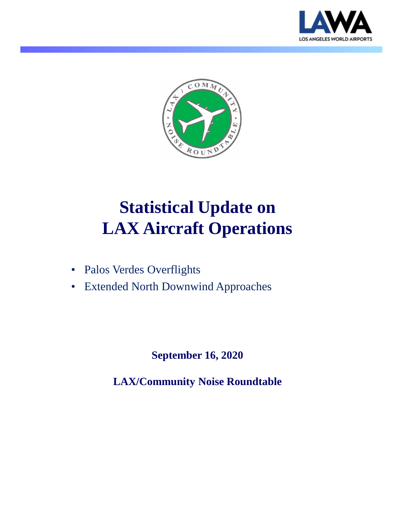



# **Statistical Update on LAX Aircraft Operations**

- Palos Verdes Overflights
- Extended North Downwind Approaches

**September 16, 2020**

**LAX/Community Noise Roundtable**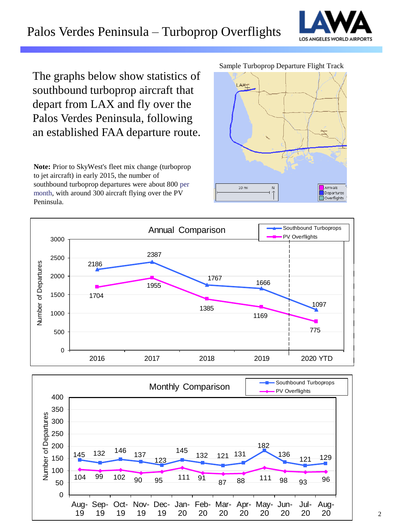# Palos Verdes Peninsula – Turboprop Overflights



The graphs below show statistics of southbound turboprop aircraft that depart from LAX and fly over the Palos Verdes Peninsula, following an established FAA departure route.

**Note:** Prior to SkyWest's fleet mix change (turboprop to jet aircraft) in early 2015, the number of southbound turboprop departures were about 800 per month, with around 300 aircraft flying over the PV Peninsula.

Sample Turboprop Departure Flight Track





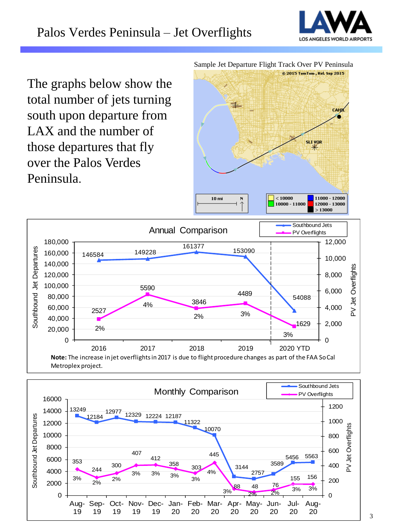

The graphs below show the total number of jets turning south upon departure from LAX and the number of those departures that fly over the Palos Verdes Peninsula.

Sample Jet Departure Flight Track Over PV Peninsula





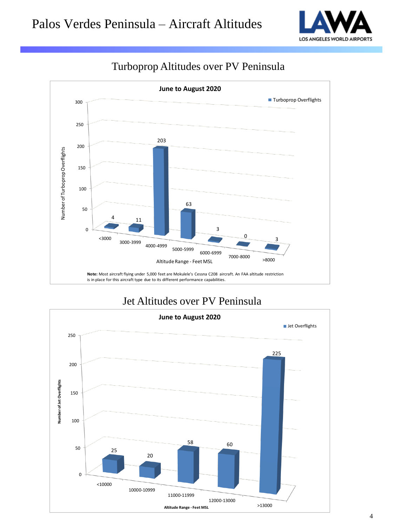



### Turboprop Altitudes over PV Peninsula

### Jet Altitudes over PV Peninsula

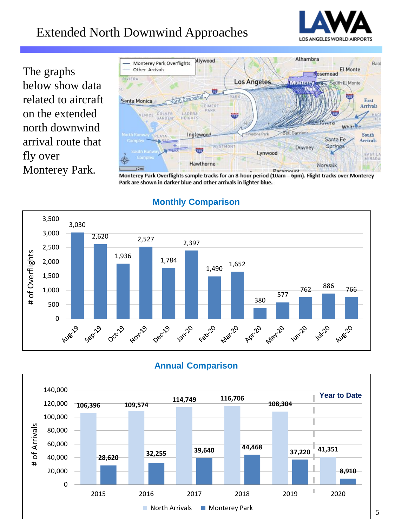# Extended North Downwind Approaches



The graphs below show data related to aircraft on the extended north downwind arrival route that fly over Monterey Park.



Monterey Park Overflights sample tracks for an 8-hour period (10am - 6pm). Flight tracks over Monterey Park are shown in darker blue and other arrivals in lighter blue.



### **Monthly Comparison**

#### **Annual Comparison**